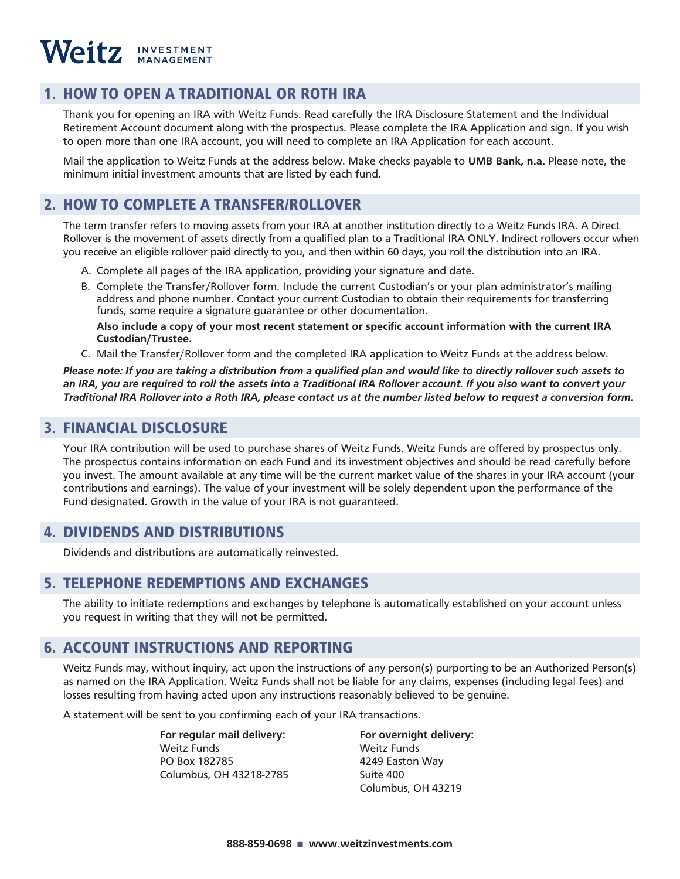### 1. HOW TO OPEN A TRADITIONAL OR ROTH IRA

Thank you for opening an IRA with Weitz Funds. Read carefully the IRA Disclosure Statement and the Individual Retirement Account document along with the prospectus. Please complete the IRA Application and sign. If you wish to open more than one IRA account, you will need to complete an IRA Application for each account.

Mail the application to Weitz Funds at the address below. Make checks payable to **UMB Bank, n.a.** Please note, the minimum initial investment amounts that are listed by each fund.

### 2. HOW TO COMPLETE A TRANSFER/ROLLOVER

The term transfer refers to moving assets from your IRA at another institution directly to a Weitz Funds IRA. A Direct Rollover is the movement of assets directly from a qualified plan to a Traditional IRA ONLY. Indirect rollovers occur when you receive an eligible rollover paid directly to you, and then within 60 days, you roll the distribution into an IRA.

- A. Complete all pages of the IRA application, providing your signature and date.
- B. Complete the Transfer/Rollover form. Include the current Custodian's or your plan administrator's mailing address and phone number. Contact your current Custodian to obtain their requirements for transferring funds, some require a signature guarantee or other documentation.

**Also include a copy of your most recent statement or specific account information with the current IRA Custodian/Trustee.**

C. Mail the Transfer/Rollover form and the completed IRA application to Weitz Funds at the address below.

*Please note: If you are taking a distribution from a qualified plan and would like to directly rollover such assets to an IRA, you are required to roll the assets into a Traditional IRA Rollover account. If you also want to convert your Traditional IRA Rollover into a Roth IRA, please contact us at the number listed below to request a conversion form.*

### 3. FINANCIAL DISCLOSURE

Your IRA contribution will be used to purchase shares of Weitz Funds. Weitz Funds are offered by prospectus only. The prospectus contains information on each Fund and its investment objectives and should be read carefully before you invest. The amount available at any time will be the current market value of the shares in your IRA account (your contributions and earnings). The value of your investment will be solely dependent upon the performance of the Fund designated. Growth in the value of your IRA is not guaranteed.

### 4. DIVIDENDS AND DISTRIBUTIONS

Dividends and distributions are automatically reinvested.

### 5. TELEPHONE REDEMPTIONS AND EXCHANGES

The ability to initiate redemptions and exchanges by telephone is automatically established on your account unless you request in writing that they will not be permitted.

### 6. ACCOUNT INSTRUCTIONS AND REPORTING

Weitz Funds may, without inquiry, act upon the instructions of any person(s) purporting to be an Authorized Person(s) as named on the IRA Application. Weitz Funds shall not be liable for any claims, expenses (including legal fees) and losses resulting from having acted upon any instructions reasonably believed to be genuine.

A statement will be sent to you confirming each of your IRA transactions.

 **For regular mail delivery: For overnight delivery:** Weitz Funds Weitz Funds **PO Box 182785** 4249 Easton Way **Columbus, OH 43218-2785 Suite 400** 

Columbus, OH 43219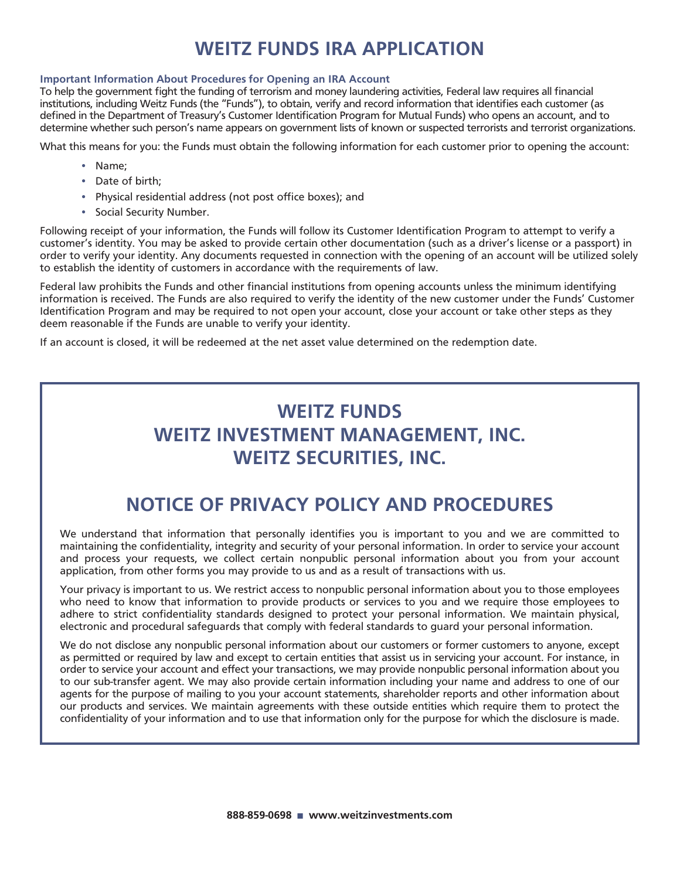# **WEITZ FUNDS IRA APPLICATION**

#### **Important Information About Procedures for Opening an IRA Account**

To help the government fight the funding of terrorism and money laundering activities, Federal law requires all financial institutions, including Weitz Funds (the "Funds"), to obtain, verify and record information that identifies each customer (as defined in the Department of Treasury's Customer Identification Program for Mutual Funds) who opens an account, and to determine whether such person's name appears on government lists of known or suspected terrorists and terrorist organizations.

What this means for you: the Funds must obtain the following information for each customer prior to opening the account:

- Name;
- Date of birth;
- Physical residential address (not post office boxes); and
- Social Security Number.

Following receipt of your information, the Funds will follow its Customer Identification Program to attempt to verify a customer's identity. You may be asked to provide certain other documentation (such as a driver's license or a passport) in order to verify your identity. Any documents requested in connection with the opening of an account will be utilized solely to establish the identity of customers in accordance with the requirements of law.

Federal law prohibits the Funds and other financial institutions from opening accounts unless the minimum identifying information is received. The Funds are also required to verify the identity of the new customer under the Funds' Customer Identification Program and may be required to not open your account, close your account or take other steps as they deem reasonable if the Funds are unable to verify your identity.

If an account is closed, it will be redeemed at the net asset value determined on the redemption date.

# **WEITZ FUNDS WEITZ INVESTMENT MANAGEMENT, INC. WEITZ SECURITIES, INC.**

## **NOTICE OF PRIVACY POLICY AND PROCEDURES**

We understand that information that personally identifies you is important to you and we are committed to maintaining the confidentiality, integrity and security of your personal information. In order to service your account and process your requests, we collect certain nonpublic personal information about you from your account application, from other forms you may provide to us and as a result of transactions with us.

Your privacy is important to us. We restrict access to nonpublic personal information about you to those employees who need to know that information to provide products or services to you and we require those employees to adhere to strict confidentiality standards designed to protect your personal information. We maintain physical, electronic and procedural safeguards that comply with federal standards to guard your personal information.

We do not disclose any nonpublic personal information about our customers or former customers to anyone, except as permitted or required by law and except to certain entities that assist us in servicing your account. For instance, in order to service your account and effect your transactions, we may provide nonpublic personal information about you to our sub-transfer agent. We may also provide certain information including your name and address to one of our agents for the purpose of mailing to you your account statements, shareholder reports and other information about our products and services. We maintain agreements with these outside entities which require them to protect the confidentiality of your information and to use that information only for the purpose for which the disclosure is made.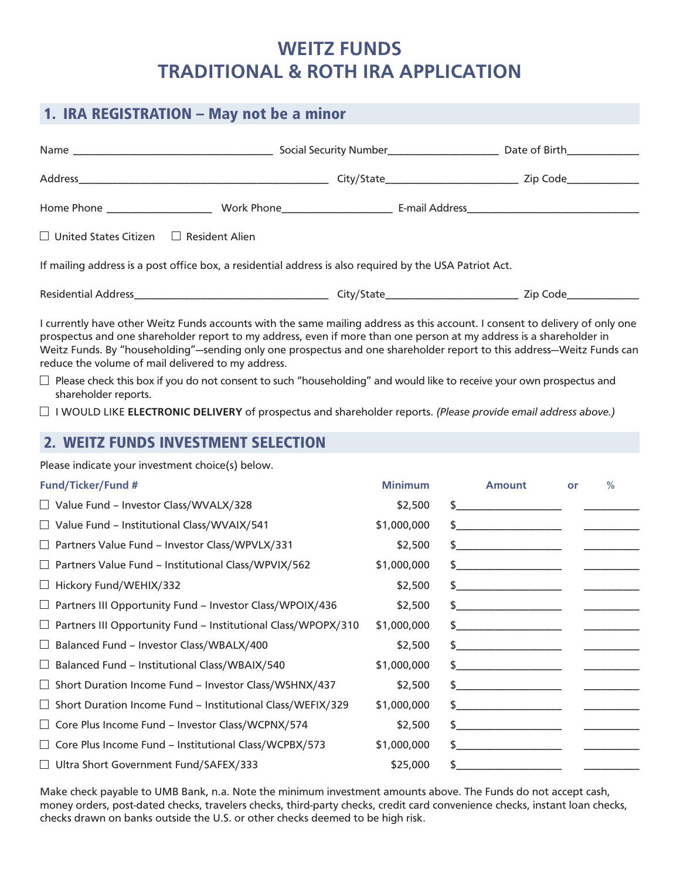## **WEITZ FUNDS TRADITIONAL & ROTH IRA APPLICATION**

# 1. IRA REGISTRATION – May not be a minor Name \_\_\_\_\_\_\_\_\_\_\_\_\_\_\_\_\_\_\_\_\_\_\_\_\_\_\_\_\_\_\_\_\_\_\_\_ Social Security Number\_\_\_\_\_\_\_\_\_\_\_\_\_\_\_\_\_\_\_\_ Date of Birth\_\_\_\_\_\_\_\_\_\_\_\_\_ Address\_\_\_\_\_\_\_\_\_\_\_\_\_\_\_\_\_\_\_\_\_\_\_\_\_\_\_\_\_\_\_\_\_\_\_\_\_\_\_\_\_\_\_\_\_ City/State\_\_\_\_\_\_\_\_\_\_\_\_\_\_\_\_\_\_\_\_\_\_\_\_ Zip Code\_\_\_\_\_\_\_\_\_\_\_\_\_ Home Phone \_\_\_\_\_\_\_\_\_\_\_\_\_\_\_\_\_\_\_\_\_\_\_\_\_\_\_ Work Phone \_\_\_\_\_\_\_\_\_\_\_\_\_\_\_\_\_\_\_\_\_\_\_\_\_\_\_\_\_\_ E-mail Address\_\_\_\_\_\_\_\_\_\_\_\_\_\_\_\_\_\_\_\_\_  $\Box$  United States Citizen  $\Box$  Resident Alien If mailing address is a post office box, a residential address is also required by the USA Patriot Act. Residential Address\_\_\_\_\_\_\_\_\_\_\_\_\_\_\_\_\_\_\_\_\_\_\_\_\_\_\_\_\_\_\_\_\_\_\_ City/State\_\_\_\_\_\_\_\_\_\_\_\_\_\_\_\_\_\_\_\_\_\_\_\_ Zip Code\_\_\_\_\_\_\_\_\_\_\_\_\_ I currently have other Weitz Funds accounts with the same mailing address as this account. I consent to delivery of only one prospectus and one shareholder report to my address, even if more than one person at my address is a shareholder in

Weitz Funds. By "householding"—sending only one prospectus and one shareholder report to this address—Weitz Funds can reduce the volume of mail delivered to my address.

 $\Box$  Please check this box if you do not consent to such "householding" and would like to receive your own prospectus and shareholder reports.

I WOULD LIKE **ELECTRONIC DELIVERY** of prospectus and shareholder reports. *(Please provide email address above.)*

### 2. WEITZ FUNDS INVESTMENT SELECTION

Please indicate your investment choice(s) below.

| <b>Fund/Ticker/Fund #</b>                                            | <b>Minimum</b> | <b>Amount</b> | or | $\frac{0}{0}$ |
|----------------------------------------------------------------------|----------------|---------------|----|---------------|
| □ Value Fund - Investor Class/WVALX/328                              | \$2,500        | \$            |    |               |
| Value Fund - Institutional Class/WVAIX/541<br>⊔                      | \$1,000,000    | \$            |    |               |
| Partners Value Fund - Investor Class/WPVLX/331<br>$\Box$             | \$2,500        | \$            |    |               |
| Partners Value Fund - Institutional Class/WPVIX/562<br>⊔             | \$1,000,000    | $\frac{1}{2}$ |    |               |
| Hickory Fund/WEHIX/332<br>ப                                          | \$2,500        | $\frac{1}{2}$ |    |               |
| Partners III Opportunity Fund - Investor Class/WPOIX/436<br>ப        | \$2,500        | $\frac{1}{2}$ |    |               |
| Partners III Opportunity Fund - Institutional Class/WPOPX/310<br>⊔   | \$1,000,000    | \$            |    |               |
| Balanced Fund - Investor Class/WBALX/400<br>ப                        | \$2,500        | $\frac{1}{2}$ |    |               |
| Balanced Fund - Institutional Class/WBAIX/540<br>ப                   | \$1,000,000    | \$            |    |               |
| Short Duration Income Fund - Investor Class/WSHNX/437<br>$\Box$      | \$2,500        | \$            |    |               |
| Short Duration Income Fund - Institutional Class/WEFIX/329<br>$\Box$ | \$1,000,000    | \$            |    |               |
| Core Plus Income Fund - Investor Class/WCPNX/574<br>$\Box$           | \$2,500        | \$            |    |               |
| Core Plus Income Fund - Institutional Class/WCPBX/573<br>⊔           | \$1,000,000    | \$            |    |               |
| Ultra Short Government Fund/SAFEX/333                                | \$25,000       |               |    |               |

Make check payable to UMB Bank, n.a. Note the minimum investment amounts above. The Funds do not accept cash, money orders, post-dated checks, travelers checks, third-party checks, credit card convenience checks, instant loan checks, checks drawn on banks outside the U.S. or other checks deemed to be high risk.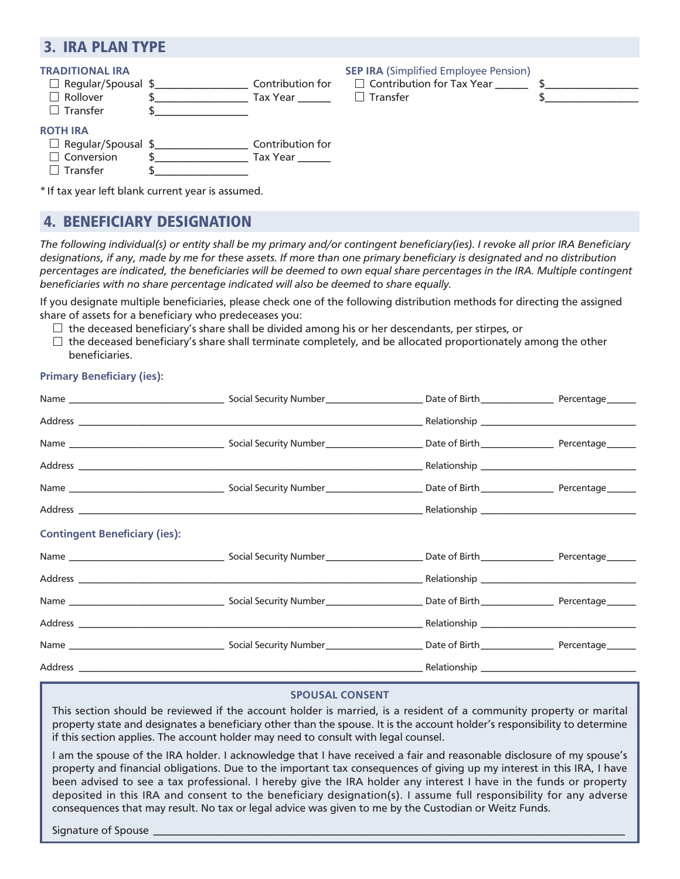### 3. IRA PLAN TYPE

| <b>TRADITIONAL IRA</b><br>$\Box$ Regular/Spousal \$<br>$\Box$ Rollover<br>$\Box$ Transfer         | Contribution for<br>Tax Year <b>Sang</b> | <b>SEP IRA (Simplified Employee Pension)</b><br>$\Box$ Contribution for Tax Year<br>$\Box$ Transfer |  |
|---------------------------------------------------------------------------------------------------|------------------------------------------|-----------------------------------------------------------------------------------------------------|--|
| <b>ROTH IRA</b><br>$\Box$ Regular/Spousal \$_____________<br>$\Box$ Conversion<br>$\Box$ Transfer | Contribution for<br>Tax Year             |                                                                                                     |  |

\*If tax year left blank current year is assumed.

### 4. BENEFICIARY DESIGNATION

*The following individual(s) or entity shall be my primary and/or contingent beneficiary(ies). I revoke all prior IRA Beneficiary designations, if any, made by me for these assets. If more than one primary beneficiary is designated and no distribution percentages are indicated, the beneficiaries will be deemed to own equal share percentages in the IRA. Multiple contingent beneficiaries with no share percentage indicated will also be deemed to share equally.*

If you designate multiple beneficiaries, please check one of the following distribution methods for directing the assigned share of assets for a beneficiary who predeceases you:

- $\Box$  the deceased beneficiary's share shall be divided among his or her descendants, per stirpes, or
- $\Box$  the deceased beneficiary's share shall terminate completely, and be allocated proportionately among the other beneficiaries.

### **Primary Beneficiary (ies):**

| <b>Contingent Beneficiary (ies):</b> |  |  |
|--------------------------------------|--|--|
|                                      |  |  |
|                                      |  |  |
|                                      |  |  |
|                                      |  |  |
|                                      |  |  |
|                                      |  |  |

### **SPOUSAL CONSENT**

This section should be reviewed if the account holder is married, is a resident of a community property or marital property state and designates a beneficiary other than the spouse. It is the account holder's responsibility to determine if this section applies. The account holder may need to consult with legal counsel.

I am the spouse of the IRA holder. I acknowledge that I have received a fair and reasonable disclosure of my spouse's property and financial obligations. Due to the important tax consequences of giving up my interest in this IRA, I have been advised to see a tax professional. I hereby give the IRA holder any interest I have in the funds or property deposited in this IRA and consent to the beneficiary designation(s). I assume full responsibility for any adverse consequences that may result. No tax or legal advice was given to me by the Custodian or Weitz Funds.

Signature of Spouse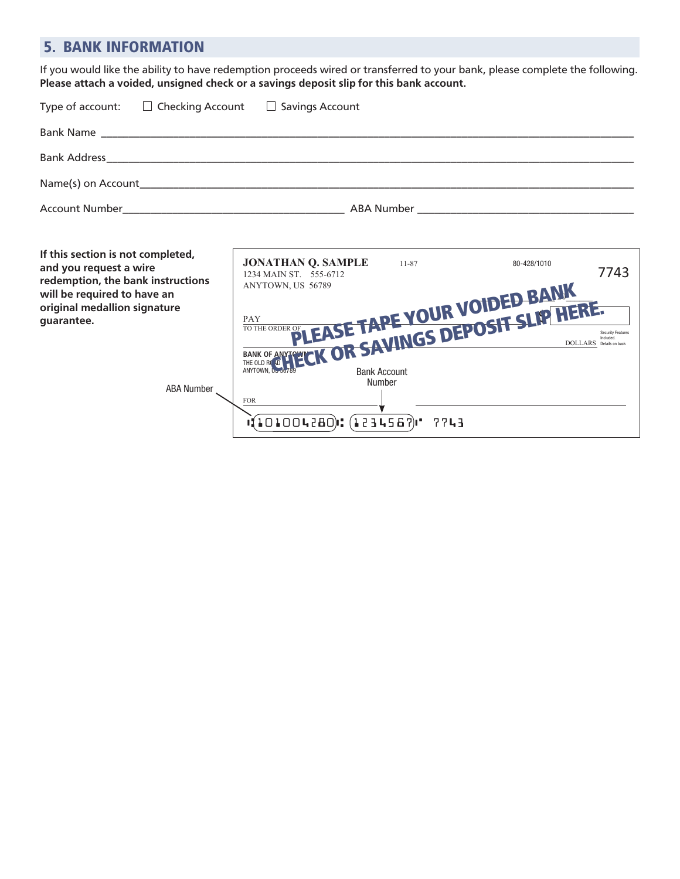### 5. BANK INFORMATION

If you would like the ability to have redemption proceeds wired or transferred to your bank, please complete the following. **Please attach a voided, unsigned check or a savings deposit slip for this bank account.**

| Type of account: $\square$ Checking Account $\square$ Savings Account |  |
|-----------------------------------------------------------------------|--|
|                                                                       |  |
|                                                                       |  |
|                                                                       |  |
|                                                                       |  |
|                                                                       |  |

**If this section is not completed, and you request a wire redemption, the bank inst will be required to have an original medallion signatu guarantee.**

 $\mathsf{r}$ 

| ietea,     | <b>JONATHAN Q. SAMPLE</b><br>1234 MAIN ST. 555-6712 | $11 - 87$ | 80-428/1010                        | 7743                                 |
|------------|-----------------------------------------------------|-----------|------------------------------------|--------------------------------------|
| tructions  | ANYTOWN, US 56789                                   |           |                                    |                                      |
| ın         |                                                     |           |                                    |                                      |
| ıre        |                                                     |           |                                    |                                      |
|            |                                                     |           | OLE OF LEASE TAPE YOUR VOIDED BANK | Security Features<br>Details on back |
|            | EARK OF AVINGS DEPOSIT SLIP HERE.                   |           |                                    |                                      |
| ABA Number | <b>FOR</b>                                          | Number    |                                    |                                      |
|            | $(101004280)$ : $(1234567)$ '                       | 7743      |                                    |                                      |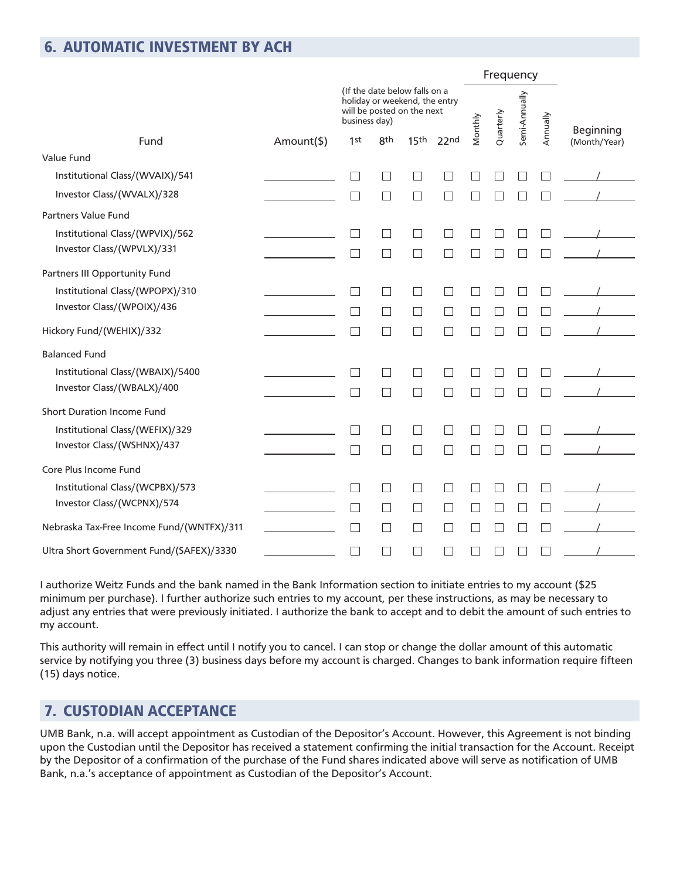### 6. AUTOMATIC INVESTMENT BY ACH

|                                                                                                               | Frequency |           |               |          |                                  |
|---------------------------------------------------------------------------------------------------------------|-----------|-----------|---------------|----------|----------------------------------|
| (If the date below falls on a<br>holiday or weekend, the entry<br>will be posted on the next<br>business day) | Vlonthly  | Quarterly | Semi-Annually | Annually |                                  |
| 15 <sup>th</sup><br><b>8th</b><br>Fund<br>Amount(\$)<br>1st<br>22nd                                           |           |           |               |          | <b>Beginning</b><br>(Month/Year) |
| Value Fund                                                                                                    |           |           |               |          |                                  |
| Institutional Class/(WVAIX)/541<br>$\mathsf{L}$<br>$\Box$<br>$\vert \ \ \vert$                                |           |           |               |          |                                  |
| Investor Class/(WVALX)/328<br>$\Box$<br>$\Box$<br>П                                                           |           |           |               |          |                                  |
| Partners Value Fund                                                                                           |           |           |               |          |                                  |
| Institutional Class/(WPVIX)/562<br>$\Box$<br>$\Box$                                                           |           |           |               |          |                                  |
| Investor Class/(WPVLX)/331<br>$\Box$<br>П<br>$\Box$                                                           |           |           |               |          |                                  |
| Partners III Opportunity Fund                                                                                 |           |           |               |          |                                  |
| Institutional Class/(WPOPX)/310<br>П<br>П<br>$\Box$                                                           |           |           |               |          |                                  |
| Investor Class/(WPOIX)/436<br>$\Box$<br>$\Box$<br>П                                                           |           |           |               |          |                                  |
| Hickory Fund/(WEHIX)/332<br>$\Box$<br>$\Box$<br>Г                                                             |           |           |               |          |                                  |
| <b>Balanced Fund</b>                                                                                          |           |           |               |          |                                  |
| Institutional Class/(WBAIX)/5400<br>$\blacksquare$<br>$\overline{\phantom{a}}$<br>$\mathsf{L}$                |           |           |               |          |                                  |
| Investor Class/(WBALX)/400<br>$\Box$<br>$\Box$<br>П                                                           |           |           |               |          |                                  |
| Short Duration Income Fund                                                                                    |           |           |               |          |                                  |
| Institutional Class/(WEFIX)/329<br>П<br>┓<br>$\Box$                                                           |           |           |               |          |                                  |
| Investor Class/(WSHNX)/437<br>$\sim$<br>$\vert \ \ \vert$                                                     |           |           |               |          |                                  |
| Core Plus Income Fund                                                                                         |           |           |               |          |                                  |
| Institutional Class/(WCPBX)/573<br>П<br>$\blacksquare$<br>$\vert \ \ \vert$                                   |           |           |               |          |                                  |
| Investor Class/(WCPNX)/574<br>$\Box$<br>$\Box$<br>$\Box$<br>$\blacksquare$                                    |           |           |               |          |                                  |
| Nebraska Tax-Free Income Fund/(WNTFX)/311<br>П<br>П<br>П<br>$\vert \ \ \vert$                                 |           |           |               |          |                                  |
| Ultra Short Government Fund/(SAFEX)/3330<br>$\Box$<br>$\vert \ \ \vert$<br>$\vert \ \ \vert$                  |           |           |               |          |                                  |

I authorize Weitz Funds and the bank named in the Bank Information section to initiate entries to my account (\$25 minimum per purchase). I further authorize such entries to my account, per these instructions, as may be necessary to adjust any entries that were previously initiated. I authorize the bank to accept and to debit the amount of such entries to my account.

This authority will remain in effect until I notify you to cancel. I can stop or change the dollar amount of this automatic service by notifying you three (3) business days before my account is charged. Changes to bank information require fifteen (15) days notice.

## 7. CUSTODIAN ACCEPTANCE

UMB Bank, n.a. will accept appointment as Custodian of the Depositor's Account. However, this Agreement is not binding upon the Custodian until the Depositor has received a statement confirming the initial transaction for the Account. Receipt by the Depositor of a confirmation of the purchase of the Fund shares indicated above will serve as notification of UMB Bank, n.a.'s acceptance of appointment as Custodian of the Depositor's Account.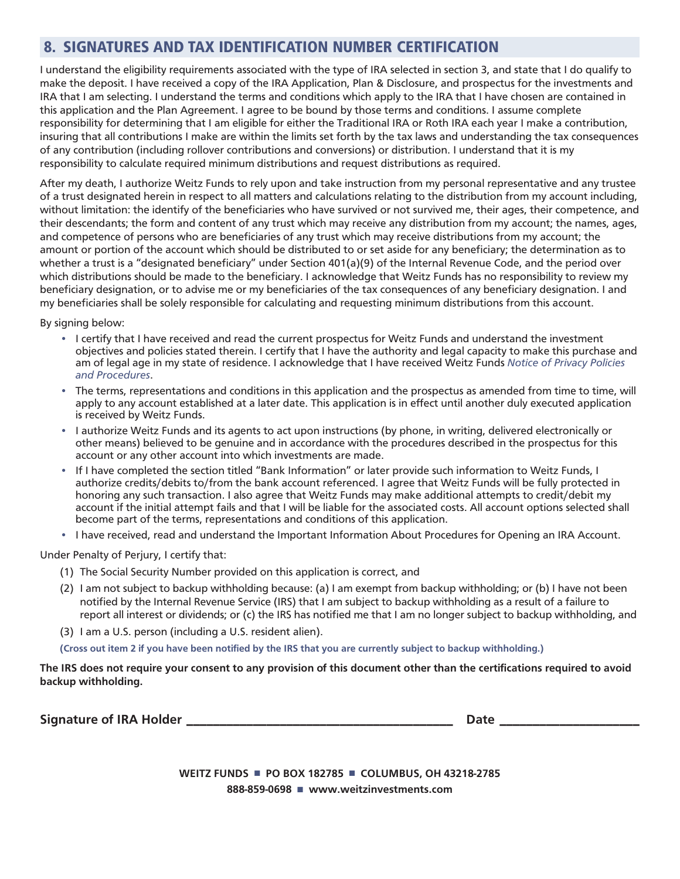## 8. SIGNATURES AND TAX IDENTIFICATION NUMBER CERTIFICATION

I understand the eligibility requirements associated with the type of IRA selected in section 3, and state that I do qualify to make the deposit. I have received a copy of the IRA Application, Plan & Disclosure, and prospectus for the investments and IRA that I am selecting. I understand the terms and conditions which apply to the IRA that I have chosen are contained in this application and the Plan Agreement. I agree to be bound by those terms and conditions. I assume complete responsibility for determining that I am eligible for either the Traditional IRA or Roth IRA each year I make a contribution, insuring that all contributions I make are within the limits set forth by the tax laws and understanding the tax consequences of any contribution (including rollover contributions and conversions) or distribution. I understand that it is my responsibility to calculate required minimum distributions and request distributions as required.

After my death, I authorize Weitz Funds to rely upon and take instruction from my personal representative and any trustee of a trust designated herein in respect to all matters and calculations relating to the distribution from my account including, without limitation: the identify of the beneficiaries who have survived or not survived me, their ages, their competence, and their descendants; the form and content of any trust which may receive any distribution from my account; the names, ages, and competence of persons who are beneficiaries of any trust which may receive distributions from my account; the amount or portion of the account which should be distributed to or set aside for any beneficiary; the determination as to whether a trust is a "designated beneficiary" under Section 401(a)(9) of the Internal Revenue Code, and the period over which distributions should be made to the beneficiary. I acknowledge that Weitz Funds has no responsibility to review my beneficiary designation, or to advise me or my beneficiaries of the tax consequences of any beneficiary designation. I and my beneficiaries shall be solely responsible for calculating and requesting minimum distributions from this account.

By signing below:

- I certify that I have received and read the current prospectus for Weitz Funds and understand the investment objectives and policies stated therein. I certify that I have the authority and legal capacity to make this purchase and am of legal age in my state of residence. I acknowledge that I have received Weitz Funds *Notice of Privacy Policies and Procedures*.
- The terms, representations and conditions in this application and the prospectus as amended from time to time, will apply to any account established at a later date. This application is in effect until another duly executed application is received by Weitz Funds.
- I authorize Weitz Funds and its agents to act upon instructions (by phone, in writing, delivered electronically or other means) believed to be genuine and in accordance with the procedures described in the prospectus for this account or any other account into which investments are made.
- If I have completed the section titled "Bank Information" or later provide such information to Weitz Funds, I authorize credits/debits to/from the bank account referenced. I agree that Weitz Funds will be fully protected in honoring any such transaction. I also agree that Weitz Funds may make additional attempts to credit/debit my account if the initial attempt fails and that I will be liable for the associated costs. All account options selected shall become part of the terms, representations and conditions of this application.
- I have received, read and understand the Important Information About Procedures for Opening an IRA Account.

Under Penalty of Perjury, I certify that:

- (1) The Social Security Number provided on this application is correct, and
- (2) I am not subject to backup withholding because: (a) I am exempt from backup withholding; or (b) I have not been notified by the Internal Revenue Service (IRS) that I am subject to backup withholding as a result of a failure to report all interest or dividends; or (c) the IRS has notified me that I am no longer subject to backup withholding, and
- (3) I am a U.S. person (including a U.S. resident alien).

**(Cross out item 2 if you have been notified by the IRS that you are currently subject to backup withholding.)**

**The IRS does not require your consent to any provision of this document other than the certifications required to avoid backup withholding.**

**Signature of IRA Holder \_\_\_\_\_\_\_\_\_\_\_\_\_\_\_\_\_\_\_\_\_\_\_\_\_\_\_\_\_\_\_\_\_\_\_\_\_\_\_\_ Date \_\_\_\_\_\_\_\_\_\_\_\_\_\_\_\_\_\_\_\_\_**

**WEITZ FUNDS** ■ **PO BOX 182785** ■ **COLUMBUS, OH 43218-2785 888-859-0698** ■ **www.weitzinvestments.com**